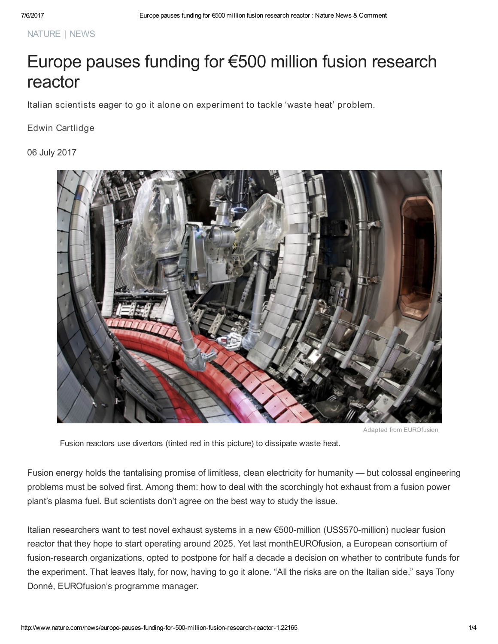NATURE | NEWS

# Europe pauses funding for €500 million fusion research reactor

Italian scientists eager to go it alone on experiment to tackle 'waste heat' problem.

Edwin Cartlidge

06 July 2017



Adapted from EUROfusion

Fusion reactors use divertors (tinted red in this picture) to dissipate waste heat.

Fusion energy holds the tantalising promise of limitless, clean electricity for humanity — but colossal engineering problems must be solved first. Among them: how to deal with the scorchingly hot exhaust from a fusion power plant's plasma fuel. But scientists don't agree on the best way to study the issue.

Italian researchers want to test novel exhaust systems in a new €500-million (US\$570-million) nuclear fusion reactor that they hope to start operating around 2025. Yet last monthEUROfusion, a European consortium of fusion-research organizations, opted to postpone for half a decade a decision on whether to contribute funds for the experiment. That leaves Italy, for now, having to go it alone. "All the risks are on the Italian side," says Tony Donné, EUROfusion's programme manager.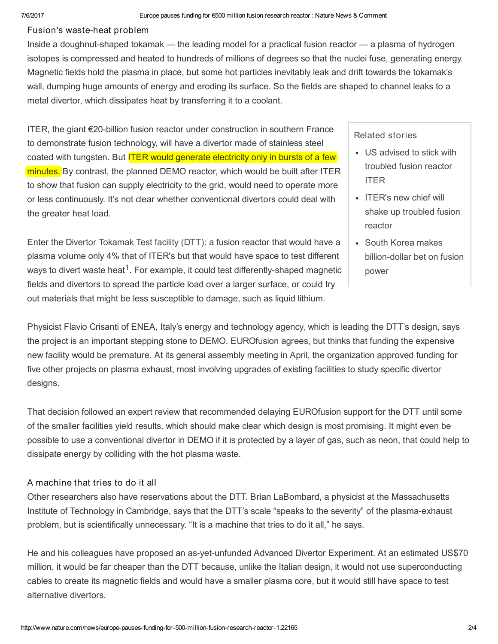#### Fusion's waste-heat problem

Inside a doughnut-shaped tokamak — the leading model for a practical fusion reactor — a plasma of hydrogen isotopes is compressed and heated to hundreds of millions of degrees so that the nuclei fuse, generating energy. Magnetic fields hold the plasma in place, but some hot particles inevitably leak and drift towards the tokamak's wall, dumping huge amounts of energy and eroding its surface. So the fields are shaped to channel leaks to a metal divertor, which dissipates heat by transferring it to a coolant.

ITER, the giant €20-billion fusion reactor under construction in southern France to demonstrate fusion technology, will have a divertor made of stainless steel coated with tungsten. But **ITER would generate electricity only in bursts of a few** minutes. By contrast, the planned DEMO reactor, which would be built after ITER to show that fusion can supply electricity to the grid, would need to operate more or less continuously. It's not clear whether conventional divertors could deal with the greater heat load.

Enter the Divertor [Tokamak](http://www.fsn-fusphy.enea.it/DTT/) Test facility (DTT): a fusion reactor that would have a plasma volume only 4% that of ITER's but that would have space to test different ways to divert waste heat<sup>[1](#page-2-0)</sup>. For example, it could test differently-shaped magnetic fields and divertors to spread the particle load over a larger surface, or could try out materials that might be less susceptible to damage, such as liquid lithium.

#### Related stories

- US advised to stick with [troubled](http://www.nature.com/doifinder/10.1038/nature.2016.19994) fusion reactor ITER
- ITER's new chief will shake up [troubled](http://www.nature.com/doifinder/10.1038/nature.2014.16396) fusion reactor
- South Korea makes [billion-dollar](http://www.nature.com/doifinder/10.1038/nature.2013.12251) bet on fusion power

Physicist Flavio Crisanti of ENEA, Italy's energy and technology agency, which is leading the DTT's design, says the project is an important stepping stone to DEMO. EUROfusion agrees, but thinks that funding the expensive new facility would be premature. At its general assembly meeting in April, the organization approved funding for five other projects on plasma exhaust, most involving upgrades of existing facilities to study specific divertor designs.

That decision followed an expert review that recommended delaying EUROfusion support for the DTT until some of the smaller facilities yield results, which should make clear which design is most promising. It might even be possible to use a conventional divertor in DEMO if it is protected by a layer of gas, such as neon, that could help to dissipate energy by colliding with the hot plasma waste.

### A machine that tries to do it all

Other researchers also have reservations about the DTT. Brian LaBombard, a physicist at the Massachusetts Institute of Technology in Cambridge, says that the DTT's scale "speaks to the severity" of the plasma-exhaust problem, but is scientifically unnecessary. "It is a machine that tries to do it all," he says.

He and his colleagues have proposed an as-yet-unfunded Advanced Divertor Experiment. At an estimated US\$70 million, it would be far cheaper than the DTT because, unlike the Italian design, it would not use superconducting cables to create its magnetic fields and would have a smaller plasma core, but it would still have space to test alternative divertors.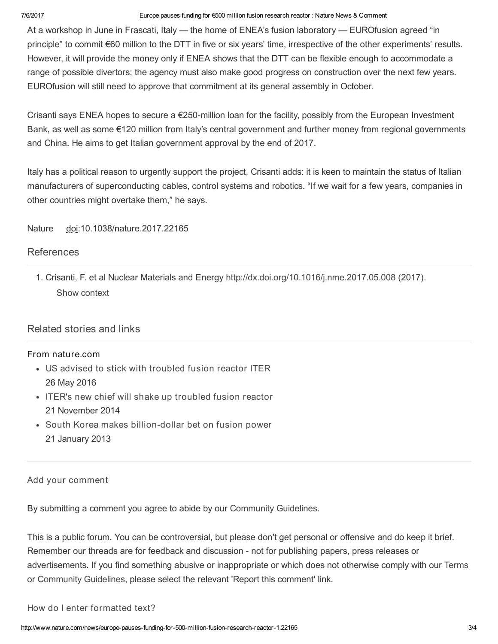#### 7/6/2017 Europe pauses funding for €500 million fusion research reactor : Nature News & Comment

At a workshop in June in Frascati, Italy — the home of ENEA's fusion laboratory — EUROfusion agreed "in principle" to commit €60 million to the DTT in five or six years' time, irrespective of the other experiments' results. However, it will provide the money only if ENEA shows that the DTT can be flexible enough to accommodate a range of possible divertors; the agency must also make good progress on construction over the next few years. EUROfusion will still need to approve that commitment at its general assembly in October.

Crisanti says ENEA hopes to secure a €250-million loan for the facility, possibly from the European Investment Bank, as well as some €120 million from Italy's central government and further money from regional governments and China. He aims to get Italian government approval by the end of 2017.

Italy has a political reason to urgently support the project, Crisanti adds: it is keen to maintain the status of Italian manufacturers of superconducting cables, control systems and robotics. "If we wait for a few years, companies in other countries might overtake them," he says.

Nature doi:10.1038/nature.2017.22165

### [References](javascript:;)

<span id="page-2-0"></span>1. Crisanti, F. et al Nuclear Materials and Energy <http://dx.doi.org/10.1016/j.nme.2017.05.008> (2017). Show [context](javascript:;)

## [Related](javascript:;) stories and links

#### From nature.com

- US advised to stick with [troubled](http://www.nature.com/doifinder/10.1038/nature.2016.19994) fusion reactor ITER 26 May 2016
- ITER's new chief will shake up [troubled](http://www.nature.com/doifinder/10.1038/nature.2014.16396) fusion reactor 21 November 2014
- South Korea makes [billion-dollar](http://www.nature.com/doifinder/10.1038/nature.2013.12251) bet on fusion power 21 January 2013

### Add your comment

By submitting a comment you agree to abide by our [Community](http://www.nature.com/info/community-guidelines.html) Guidelines.

This is a public forum. You can be controversial, but please don't get personal or offensive and do keep it brief. Remember our threads are for feedback and discussion - not for publishing papers, press releases or advertisements. If you find something abusive or inappropriate or which does not otherwise comply with our [Terms](http://www.nature.com/info/tandc.html) or [Community](http://www.nature.com/info/community-guidelines.html) Guidelines, please select the relevant 'Report this comment' link.

#### How do I enter formatted text?